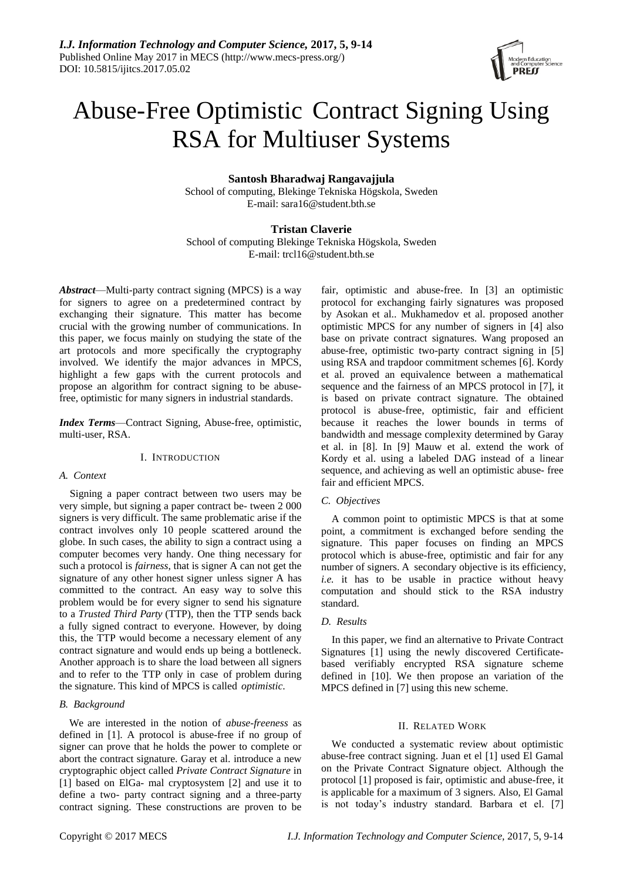

# Abuse-Free Optimistic Contract Signing Using RSA for Multiuser Systems

# **Santosh Bharadwaj Rangavajjula**

School of computing, Blekinge Tekniska Högskola, Sweden E-mail: [sara16@student.bth.se](mailto:sara16@student.bth.se)

# **Tristan Claverie**

School of computing Blekinge Tekniska Högskola, Sweden E-mail: [trcl16@student.bth.se](mailto:trcl16@student.bth.se)

*Abstract*—Multi-party contract signing (MPCS) is a way for signers to agree on a predetermined contract by exchanging their signature. This matter has become crucial with the growing number of communications. In this paper, we focus mainly on studying the state of the art protocols and more specifically the cryptography involved. We identify the major advances in MPCS, highlight a few gaps with the current protocols and propose an algorithm for contract signing to be abusefree, optimistic for many signers in industrial standards.

*Index Terms*—Contract Signing, Abuse-free, optimistic, multi-user, RSA.

### I. INTRODUCTION

# *A. Context*

Signing a paper contract between two users may be very simple, but signing a paper contract be- tween 2 000 signers is very difficult. The same problematic arise if the contract involves only 10 people scattered around the globe. In such cases, the ability to sign a contract using a computer becomes very handy. One thing necessary for such a protocol is *fairness*, that is signer A can not get the signature of any other honest signer unless signer A has committed to the contract. An easy way to solve this problem would be for every signer to send his signature to a *Trusted Third Party* (TTP), then the TTP sends back a fully signed contract to everyone. However, by doing this, the TTP would become a necessary element of any contract signature and would ends up being a bottleneck. Another approach is to share the load between all signers and to refer to the TTP only in case of problem during the signature. This kind of MPCS is called *optimistic*.

## *B. Background*

We are interested in the notion of *abuse-freeness* as defined in [\[1\].](#page-5-0) A protocol is abuse-free if no group of signer can prove that he holds the power to complete or abort the contract signature. Garay et al. introduce a new cryptographic object called *Private Contract Signature* in [\[1\]](#page-5-0) based on ElGa- mal cryptosystem [\[2\]](#page-5-1) and use it to define a two- party contract signing and a three-party contract signing. These constructions are proven to be

fair, optimistic and abuse-free. In [\[3\]](#page-5-2) an optimistic protocol for exchanging fairly signatures was proposed by Asokan et al.. Mukhamedov et al. proposed another optimistic MPCS for any number of signers in [\[4\]](#page-5-3) also base on private contract signatures. Wang proposed an abuse-free, optimistic two-party contract signing in [\[5\]](#page-5-4) using RSA and trapdoor commitment schemes [\[6\].](#page-5-5) Kordy et al. proved an equivalence between a mathematical sequence and the fairness of an MPCS protocol in [\[7\],](#page-5-6) it is based on private contract signature. The obtained protocol is abuse-free, optimistic, fair and efficient because it reaches the lower bounds in terms of bandwidth and message complexity determined by Garay et al. in [\[8\].](#page-5-7) In [\[9\]](#page-5-8) Mauw et al. extend the work of Kordy et al. using a labeled DAG instead of a linear sequence, and achieving as well an optimistic abuse- free fair and efficient MPCS.

## *C. Objectives*

A common point to optimistic MPCS is that at some point, a commitment is exchanged before sending the signature. This paper focuses on finding an MPCS protocol which is abuse-free, optimistic and fair for any number of signers. A secondary objective is its efficiency, *i.e.* it has to be usable in practice without heavy computation and should stick to the RSA industry standard.

# *D. Results*

In this paper, we find an alternative to Private Contract Signatures [\[1\]](#page-5-0) using the newly discovered Certificatebased verifiably encrypted RSA signature scheme defined in [\[10\].](#page-5-9) We then propose an variation of the MPCS defined in [\[7\]](#page-5-6) using this new scheme.

## II. RELATED WORK

We conducted a systematic review about optimistic abuse-free contract signing. Juan et el [\[1\]](#page-5-0) used El Gamal on the Private Contract Signature object. Although the protocol [\[1\]](#page-5-0) proposed is fair, optimistic and abuse-free, it is applicable for a maximum of 3 signers. Also, El Gamal is not today's industry standard. Barbara et el. [\[7\]](#page-5-6)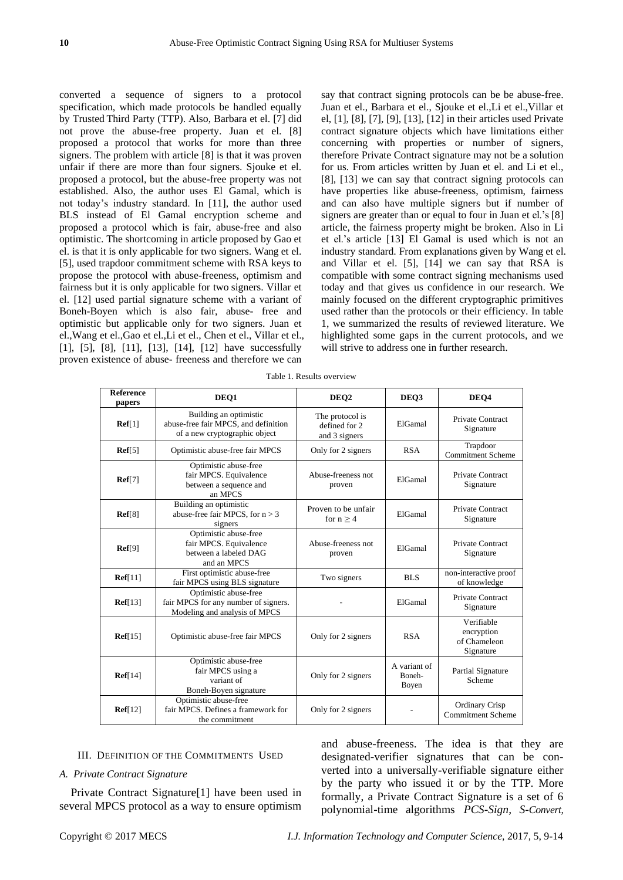converted a sequence of signers to a protocol specification, which made protocols be handled equally by Trusted Third Party (TTP). Also, Barbara et el. [\[7\]](#page-5-6) did not prove the abuse-free property. Juan et el. [\[8\]](#page-5-7) proposed a protocol that works for more than three signers. The problem with article [\[8\]](#page-5-7) is that it was proven unfair if there are more than four signers. Sjouke et el. proposed a protocol, but the abuse-free property was not established. Also, the author uses El Gamal, which is not today's industry standard. In [\[11\],](#page-5-10) the author used BLS instead of El Gamal encryption scheme and proposed a protocol which is fair, abuse-free and also optimistic. The shortcoming in article proposed by Gao et el. is that it is only applicable for two signers. Wang et el. [\[5\],](#page-5-4) used trapdoor commitment scheme with RSA keys to propose the protocol with abuse-freeness, optimism and fairness but it is only applicable for two signers. Villar et el. [\[12\]](#page-5-11) used partial signature scheme with a variant of Boneh-Boyen which is also fair, abuse- free and optimistic but applicable only for two signers. Juan et el.,Wang et el.,Gao et el.,Li et el., Chen et el., Villar et el., [\[1\],](#page-5-0) [\[5\],](#page-5-4) [\[8\],](#page-5-7) [\[11\],](#page-5-10) [\[13\],](#page-5-12) [\[14\],](#page-5-13) [\[12\]](#page-5-11) have successfully proven existence of abuse- freeness and therefore we can

say that contract signing protocols can be be abuse-free. Juan et el., Barbara et el., Sjouke et el.,Li et el.,Villar et el, [\[1\],](#page-5-0) [\[8\],](#page-5-7) [\[7\],](#page-5-6) [\[9\],](#page-5-8) [\[13\],](#page-5-12) [\[12\]](#page-5-11) in their articles used Private contract signature objects which have limitations either concerning with properties or number of signers, therefore Private Contract signature may not be a solution for us. From articles written by Juan et el. and Li et el., [\[8\],](#page-5-7) [\[13\]](#page-5-12) we can say that contract signing protocols can have properties like abuse-freeness, optimism, fairness and can also have multiple signers but if number of signers are greater than or equal to four in Juan et el.'s [\[8\]](#page-5-7) article, the fairness property might be broken. Also in Li et el.'s article [\[13\]](#page-5-12) El Gamal is used which is not an industry standard. From explanations given by Wang et el. and Villar et el. [\[5\],](#page-5-4) [\[14\]](#page-5-13) we can say that RSA is compatible with some contract signing mechanisms used today and that gives us confidence in our research. We mainly focused on the different cryptographic primitives used rather than the protocols or their efficiency. In table [1,](#page-2-0) we summarized the results of reviewed literature. We highlighted some gaps in the current protocols, and we will strive to address one in further research.

| <b>Reference</b><br>papers | DEQ1                                                                                            | DEO <sub>2</sub>                                  | DEO3                            | DEO4                                                  |
|----------------------------|-------------------------------------------------------------------------------------------------|---------------------------------------------------|---------------------------------|-------------------------------------------------------|
| $\textbf{Ref}[1]$          | Building an optimistic<br>abuse-free fair MPCS, and definition<br>of a new cryptographic object | The protocol is<br>defined for 2<br>and 3 signers | ElGamal                         | <b>Private Contract</b><br>Signature                  |
| $\text{Ref}[5]$            | Optimistic abuse-free fair MPCS                                                                 | Only for 2 signers                                | <b>RSA</b>                      | Trapdoor<br><b>Commitment Scheme</b>                  |
| Ref[7]                     | Optimistic abuse-free<br>fair MPCS. Equivalence<br>between a sequence and<br>an MPCS            | Abuse-freeness not<br>proven                      | ElGamal                         | Private Contract<br>Signature                         |
| Ref[8]                     | Building an optimistic<br>abuse-free fair MPCS, for $n > 3$<br>signers                          | Proven to be unfair<br>for $n \geq 4$             | ElGamal                         | <b>Private Contract</b><br>Signature                  |
| Ref[9]                     | Optimistic abuse-free<br>fair MPCS. Equivalence<br>between a labeled DAG<br>and an MPCS         | Abuse-freeness not<br>proven                      | ElGamal                         | <b>Private Contract</b><br>Signature                  |
| $\textbf{Ref}[11]$         | First optimistic abuse-free<br>fair MPCS using BLS signature                                    | Two signers                                       | <b>BLS</b>                      | non-interactive proof<br>of knowledge                 |
| $\text{Ref}[13]$           | Optimistic abuse-free<br>fair MPCS for any number of signers.<br>Modeling and analysis of MPCS  |                                                   | ElGamal                         | <b>Private Contract</b><br>Signature                  |
| $\textbf{Ref}[15]$         | Optimistic abuse-free fair MPCS                                                                 | Only for 2 signers                                | <b>RSA</b>                      | Verifiable<br>encryption<br>of Chameleon<br>Signature |
| $\textbf{Ref}[14]$         | Optimistic abuse-free<br>fair MPCS using a<br>variant of<br>Boneh-Boyen signature               | Only for 2 signers                                | A variant of<br>Boneh-<br>Boyen | Partial Signature<br>Scheme                           |
| $\textbf{Ref}[12]$         | Optimistic abuse-free<br>fair MPCS. Defines a framework for<br>the commitment                   | Only for 2 signers                                |                                 | <b>Ordinary Crisp</b><br><b>Commitment Scheme</b>     |

#### III. DEFINITION OF THE COMMITMENTS USED

# *A. Private Contract Signature*

Private Contract [Signature\[1\]](#page-5-0) have been used in several MPCS protocol as a way to ensure optimism

and abuse-freeness. The idea is that they are designated-verifier signatures that can be converted into a universally-verifiable signature either by the party who issued it or by the TTP. More formally, a Private Contract Signature is a set of 6 polynomial-time algorithms *PCS-Sign, S-Convert,*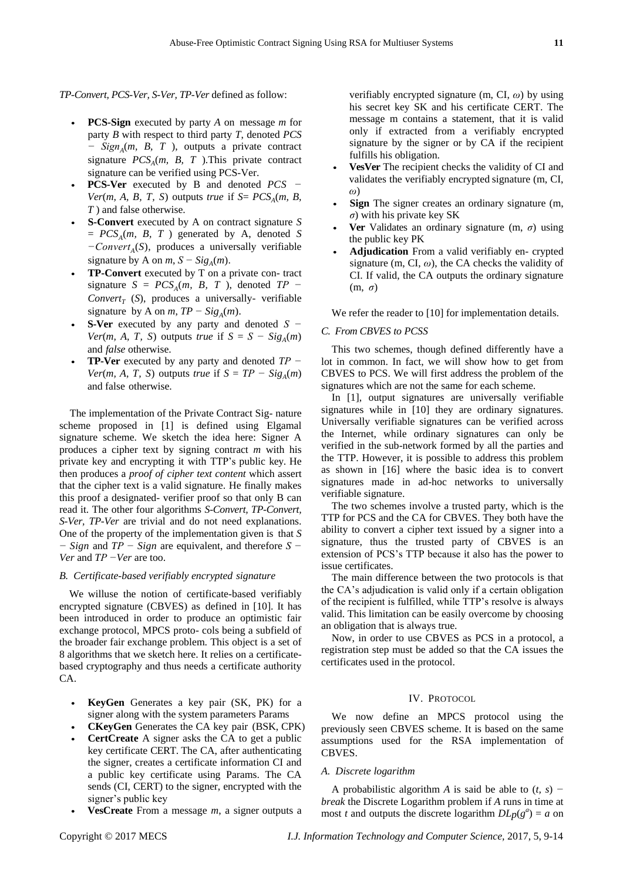*TP-Convert, PCS-Ver, S-Ver, TP-Ver* defined as follow:

- *•* **PCS-Sign** executed by party *A* on message *m* for party *B* with respect to third party *T*, denoted *PCS − Sign<sup>A</sup>* (*m, B, T* ), outputs a private contract signature  $PCS_A(m, B, T)$ . This private contract signature can be verified using PCS-Ver.
- *•* **PCS-Ver** executed by B and denoted *PCS − Ver*(*m, A, B, T, S*) outputs *true* if  $S = PCS_A(m, B, A)$ *T* ) and false otherwise.
- *•* **S-Convert** executed by A on contract signature *S*  $= PCS_A(m, B, T)$  generated by A, denoted *S −Convert<sup>A</sup>* (*S*), produces a universally verifiable signature by A on  $m$ ,  $S - Sig_A(m)$ .
- *•* **TP-Convert** executed by T on a private con- tract signature  $S = PCS_A(m, B, T)$ , denoted  $TP - T$  $Convert_T$  (S), produces a universally- verifiable signature by A on  $m$ ,  $TP - Sig_A(m)$ .
- *•* **S-Ver** executed by any party and denoted *S − Ver*(*m, A, T, S*) outputs *true* if  $S = S - Sig_A(m)$ and *false* otherwise.
- *•* **TP-Ver** executed by any party and denoted *TP − Ver*(*m, A, T, S*) outputs *true* if  $S = TP - Sig_A(m)$ and false otherwise.

The implementation of the Private Contract Sig- nature scheme proposed in [\[1\]](#page-5-0) is defined using Elgamal signature scheme. We sketch the idea here: Signer A produces a cipher text by signing contract *m* with his private key and encrypting it with TTP's public key. He then produces a *proof of cipher text content* which assert that the cipher text is a valid signature. He finally makes this proof a designated- verifier proof so that only B can read it. The other four algorithms *S-Convert, TP-Convert, S-Ver, TP-Ver* are trivial and do not need explanations. One of the property of the implementation given is that *S − Sign* and *TP − Sign* are equivalent, and therefore *S − Ver* and *TP −Ver* are too.

#### *B. Certificate-based verifiably encrypted signature*

We willuse the notion of certificate-based verifiably encrypted signature (CBVES) as defined in [\[10\].](#page-5-9) It has been introduced in order to produce an optimistic fair exchange protocol, MPCS proto- cols being a subfield of the broader fair exchange problem. This object is a set of 8 algorithms that we sketch here. It relies on a certificatebased cryptography and thus needs a certificate authority CA.

- **KeyGen** Generates a key pair (SK, PK) for a signer along with the system parameters Params
- *•* **CKeyGen** Generates the CA key pair (BSK, CPK)
- **CertCreate** A signer asks the CA to get a public key certificate CERT. The CA, after authenticating the signer, creates a certificate information CI and a public key certificate using Params. The CA sends (CI, CERT) to the signer, encrypted with the signer's public key
- *•* **VesCreate** From a message *m*, a signer outputs a

verifiably encrypted signature (m, CI, *ω*) by using his secret key SK and his certificate CERT. The message m contains a statement, that it is valid only if extracted from a verifiably encrypted signature by the signer or by CA if the recipient fulfills his obligation.

- *•* **VesVer** The recipient checks the validity of CI and validates the verifiably encrypted signature (m, CI, *ω*)
- **Sign** The signer creates an ordinary signature (m, *σ*) with his private key SK
- <span id="page-2-0"></span>**Ver** Validates an ordinary signature (m,  $\sigma$ ) using the public key PK
- *•* **Adjudication** From a valid verifiably en- crypted signature (m, CI,  $\omega$ ), the CA checks the validity of CI. If valid, the CA outputs the ordinary signature (m, *σ*)

We refer the reader to [\[10\]](#page-5-9) for implementation details.

## *C. From CBVES to PCSS*

This two schemes, though defined differently have a lot in common. In fact, we will show how to get from CBVES to PCS. We will first address the problem of the signatures which are not the same for each scheme.

In [1], output signatures are universally verifiable signatures while in [10] they are ordinary signatures. Universally verifiable signatures can be verified across the Internet, while ordinary signatures can only be verified in the sub-network formed by all the parties and the TTP. However, it is possible to address this problem as shown in [16] where the basic idea is to convert signatures made in ad-hoc networks to universally verifiable signature.

The two schemes involve a trusted party, which is the TTP for PCS and the CA for CBVES. They both have the ability to convert a cipher text issued by a signer into a signature, thus the trusted party of CBVES is an extension of PCS's TTP because it also has the power to issue certificates.

The main difference between the two protocols is that the CA's adjudication is valid only if a certain obligation of the recipient is fulfilled, while TTP's resolve is always valid. This limitation can be easily overcome by choosing an obligation that is always true.

Now, in order to use CBVES as PCS in a protocol, a registration step must be added so that the CA issues the certificates used in the protocol.

#### IV. PROTOCOL

We now define an MPCS protocol using the previously seen CBVES scheme. It is based on the same assumptions used for the RSA implementation of CBVES.

# *A. Discrete logarithm*

A probabilistic algorithm *A* is said be able to (*t, s*) *− break* the Discrete Logarithm problem if *A* runs in time at most *t* and outputs the discrete logarithm  $DLp(g^a) = a$  on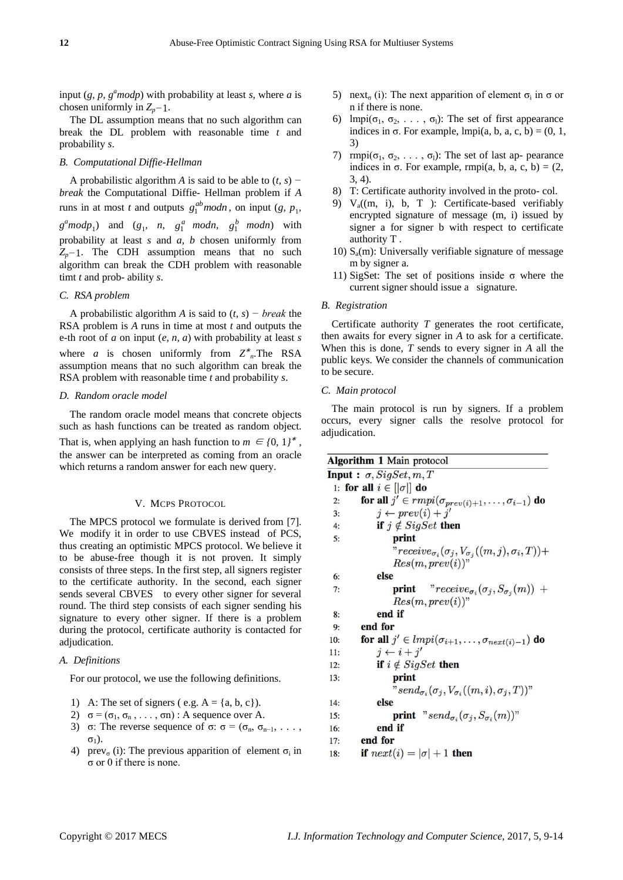input  $(g, p, g^a \mod p)$  with probability at least *s*, where *a* is chosen uniformly in *Zp−*1.

The DL assumption means that no such algorithm can break the DL problem with reasonable time *t* and probability *s*.

#### *B. Computational Diffie-Hellman*

A probabilistic algorithm *A* is said to be able to (*t, s*) *− break* the Computational Diffie- Hellman problem if *A*  runs in at most *t* and outputs  $g_1^{ab} \mod n$ , on input  $(g, p_1)$ ,  $g^a \mod p_1$  and  $(g_1, n, g_1^a \mod n, g_1^b \mod n)$  with probability at least *s* and *a, b* chosen uniformly from *Z*<sub>*p*</sub>−1. The CDH assumption means that no such algorithm can break the CDH problem with reasonable timt *t* and prob- ability *s*.

## *C. RSA problem*

A probabilistic algorithm *A* is said to (*t, s*) *− break* the RSA problem is *A* runs in time at most *t* and outputs the e-th root of *a* on input (*e, n, a*) with probability at least *s* where *a* is chosen uniformly from  $Z^*_{n}$ . The RSA assumption means that no such algorithm can break the RSA problem with reasonable time *t* and probability *s*.

## *D. Random oracle model*

The random oracle model means that concrete objects such as hash functions can be treated as random object. That is, when applying an hash function to  $m \in \{0, 1\}^*$ , the answer can be interpreted as coming from an oracle which returns a random answer for each new query.

#### V. MCPS PROTOCOL

The MPCS protocol we formulate is derived from [\[7\].](#page-5-6) We modify it in order to use CBVES instead of PCS, thus creating an optimistic MPCS protocol. We believe it to be abuse-free though it is not proven. It simply consists of three steps. In the first step, all signers register to the certificate authority. In the second, each signer sends several CBVES to every other signer for several round. The third step consists of each signer sending his signature to every other signer. If there is a problem during the protocol, certificate authority is contacted for adjudication.

## *A. Definitions*

For our protocol, we use the following definitions.

- 1) A: The set of signers (e.g.  $A = \{a, b, c\}$ ).
- 2)  $\sigma = (\sigma_1, \sigma_2, \ldots, \sigma_n)$ : A sequence over A.
- 3) σ: The reverse sequence of σ:  $\sigma = (\sigma_n, \sigma_{n-1}, \ldots, \sigma_{n})$  $σ<sub>1</sub>$ ).
- 4) prev<sub> $\sigma$ </sub> (i): The previous apparition of element  $\sigma_i$  in σ or 0 if there is none.
- 5) next<sub>σ</sub> (i): The next apparition of element  $\sigma_i$  in  $\sigma$  or n if there is none.
- 6) lmpi $(\sigma_1, \sigma_2, \ldots, \sigma_l)$ : The set of first appearance indices in  $\sigma$ . For example, lmpi(a, b, a, c, b) = (0, 1, 3)
- 7) rmpi $(\sigma_1, \sigma_2, \ldots, \sigma_l)$ : The set of last ap- pearance indices in  $\sigma$ . For example, rmpi(a, b, a, c, b) = (2, 3, 4).
- 8) T: Certificate authority involved in the proto- col.
- 9)  $V_a$ (m, i), b, T ): Certificate-based verifiably encrypted signature of message (m, i) issued by signer a for signer b with respect to certificate authority T .
- 10)  $S_a(m)$ : Universally verifiable signature of message m by signer a.
- 11) SigSet: The set of positions inside  $\sigma$  where the current signer should issue a signature.

#### *B. Registration*

Certificate authority *T* generates the root certificate, then awaits for every signer in *A* to ask for a certificate. When this is done, *T* sends to every signer in *A* all the public keys. We consider the channels of communication to be secure.

#### *C. Main protocol*

The main protocol is run by signers. If a problem occurs, every signer calls the resolve protocol for adjudication.

|     | <b>Algorithm 1 Main protocol</b>                                                    |
|-----|-------------------------------------------------------------------------------------|
|     | <b>Input :</b> $\sigma$ , SigSet, $m$ , T                                           |
|     | 1: for all $i \in [ \sigma ]$ do                                                    |
| 2:  | for all $j' \in rmpi(\sigma_{prev(i)+1}, \ldots, \sigma_{i-1})$ do                  |
| 3:  | $i \leftarrow prev(i) + i'$                                                         |
| 4:  | if $j \notin SigSet$ then                                                           |
| 5:  | print                                                                               |
|     | " $receive_{\sigma_i}(\sigma_j, V_{\sigma_j}((m,j), \sigma_i, T))+$                 |
|     | $Res(m, prev(i))$ "                                                                 |
| 6:  | else                                                                                |
| 7:  | <b>print</b> "receive <sub><math>\sigma_i(\sigma_i, S_{\sigma_i}(m))</math> +</sub> |
|     | $Res(m, prev(i))$ "                                                                 |
| 8:  | end if                                                                              |
| 9:  | end for                                                                             |
| 10: | for all $j' \in Impi(\sigma_{i+1}, \ldots, \sigma_{next(i)-1})$ do                  |
| 11: | $i \leftarrow i + i'$                                                               |
| 12: | if $i \notin SigSet$ then                                                           |
| 13: | print                                                                               |
|     | " $send_{\sigma_i}(\sigma_i, V_{\sigma_i}((m, i), \sigma_i, T))$ "                  |
| 14: | else                                                                                |
| 15: | <b>print</b> " $send_{\sigma_i}(\sigma_j, S_{\sigma_i}(m))$ "                       |
| 16: | end if                                                                              |
| 17: | end for                                                                             |
| 18: | if $next(i) =  \sigma  + 1$ then                                                    |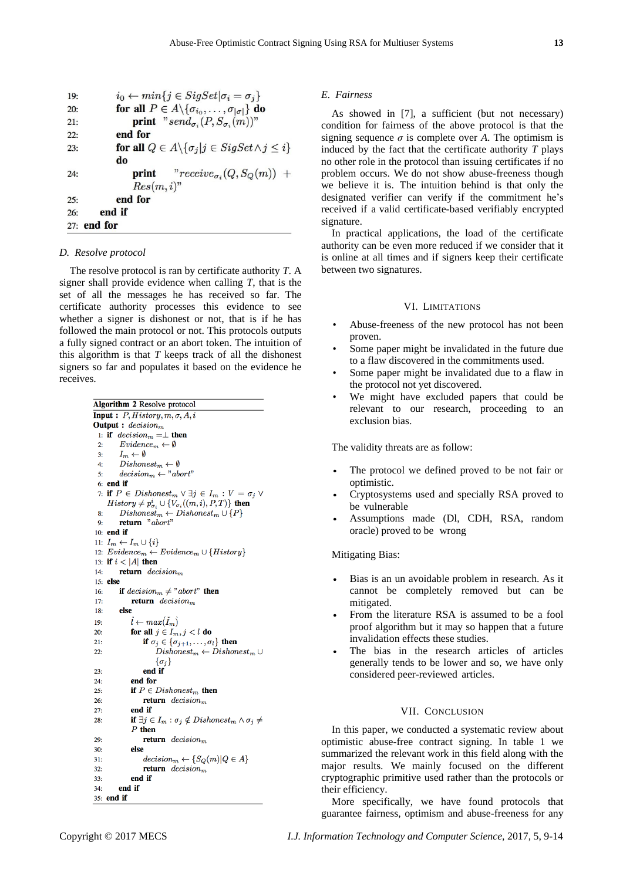| 19: | $i_0 \leftarrow min\{j \in SigSet   \sigma_i = \sigma_j\}$                   |
|-----|------------------------------------------------------------------------------|
| 20: | for all $P \in A \setminus {\{\sigma_{i_0}, \ldots, \sigma_{ \sigma }\}}$ do |
| 21: | <b>print</b> " $send_{\sigma_i}(P, S_{\sigma_i}(m))$ "                       |
| 22: | end for                                                                      |
| 23: | for all $Q \in A \setminus {\{\sigma_i   j \in SigSet \land j \leq i\}}$     |
|     | do                                                                           |
| 24: | <b>print</b> $^n$ $receive_{\sigma_i}(Q, S_Q(m))$ +                          |
|     | $Res(m, i)$ "                                                                |
| 25: | end for                                                                      |
| 26: | end if                                                                       |
|     | $27:$ end for                                                                |

## *D. Resolve protocol*

The resolve protocol is ran by certificate authority *T*. A signer shall provide evidence when calling *T*, that is the set of all the messages he has received so far. The certificate authority processes this evidence to see whether a signer is dishonest or not, that is if he has followed the main protocol or not. This protocols outputs a fully signed contract or an abort token. The intuition of this algorithm is that *T* keeps track of all the dishonest signers so far and populates it based on the evidence he receives.

| <b>Algorithm 2</b> Resolve protocol                                                    |  |  |  |  |
|----------------------------------------------------------------------------------------|--|--|--|--|
| <b>Input</b> : $P$ , $History$ , $m$ , $\sigma$ , $A$ , $i$                            |  |  |  |  |
| <b>Output</b> : $decision_m$                                                           |  |  |  |  |
| 1: if $decision_m = \perp$ then                                                        |  |  |  |  |
| $Evidence_m \leftarrow \emptyset$<br>2:                                                |  |  |  |  |
| $I_m \leftarrow \emptyset$<br>3:                                                       |  |  |  |  |
| $Dishonest_m \leftarrow \emptyset$<br>4:                                               |  |  |  |  |
| $decision_m \leftarrow "abort"$<br>5:                                                  |  |  |  |  |
| $6:$ end if                                                                            |  |  |  |  |
| 7: if $P \in Dishonest_m \vee \exists j \in I_m : V = \sigma_j \vee$                   |  |  |  |  |
| $History \neq p_{\sigma_i}^i \cup \{V_{\sigma_i}((m,i),P,T)\}$ then                    |  |  |  |  |
| $Dishonest_m \leftarrow Dishonest_m \cup \{P\}$<br>8:                                  |  |  |  |  |
| return "abort"<br>9:                                                                   |  |  |  |  |
| $10:$ end if                                                                           |  |  |  |  |
| 11: $I_m \leftarrow I_m \cup \{i\}$                                                    |  |  |  |  |
| 12: $Evidence_m \leftarrow Evidence_m \cup \{History\}$                                |  |  |  |  |
| 13: if $i <  A $ then                                                                  |  |  |  |  |
| <b>return</b> $decisionm$<br>14:                                                       |  |  |  |  |
| $15:$ else                                                                             |  |  |  |  |
| if $decision_m \neq "abort"$ then<br>16:                                               |  |  |  |  |
| <b>return</b> $decision_m$<br>17:                                                      |  |  |  |  |
| else<br>18:                                                                            |  |  |  |  |
| $l \leftarrow max(\tilde{I}_m)$<br>19:                                                 |  |  |  |  |
| for all $j \in I_m, j < l$ do<br>20:                                                   |  |  |  |  |
| if $\sigma_i \in \{\sigma_{i+1}, \ldots, \sigma_l\}$ then<br>21:                       |  |  |  |  |
| $Dishonest_m \leftarrow Dishonest_m \cup$<br>22:                                       |  |  |  |  |
| $\{\sigma_i\}$                                                                         |  |  |  |  |
| end if<br>23:                                                                          |  |  |  |  |
| end for<br>24:                                                                         |  |  |  |  |
| <b>if</b> $P \in Dishonest_m$ then<br>25:                                              |  |  |  |  |
| <b>return</b> decision <sub>m</sub><br>26:                                             |  |  |  |  |
| end if<br>27:                                                                          |  |  |  |  |
| if $\exists j \in I_m : \sigma_j \notin \text{Dishonest}_m \land \sigma_j \neq$<br>28: |  |  |  |  |
| $P$ then                                                                               |  |  |  |  |
| <b>return</b> $decision_m$<br>29:                                                      |  |  |  |  |
| else<br>30:                                                                            |  |  |  |  |
| $decision_m \leftarrow \{S_O(m) Q \in A\}$<br>31:                                      |  |  |  |  |
| <b>return</b> $decision_m$<br>32:                                                      |  |  |  |  |
| end if<br>33:                                                                          |  |  |  |  |
| end if<br>34:                                                                          |  |  |  |  |
| 35: <b>end if</b>                                                                      |  |  |  |  |

#### *E. Fairness*

As showed in [\[7\],](#page-5-6) a sufficient (but not necessary) condition for fairness of the above protocol is that the signing sequence  $\sigma$  is complete over *A*. The optimism is induced by the fact that the certificate authority *T* plays no other role in the protocol than issuing certificates if no problem occurs. We do not show abuse-freeness though we believe it is. The intuition behind is that only the designated verifier can verify if the commitment he's received if a valid certificate-based verifiably encrypted signature.

In practical applications, the load of the certificate authority can be even more reduced if we consider that it is online at all times and if signers keep their certificate between two signatures.

# VI. LIMITATIONS

- Abuse-freeness of the new protocol has not been proven.
- Some paper might be invalidated in the future due to a flaw discovered in the commitments used.
- Some paper might be invalidated due to a flaw in the protocol not yet discovered.
- We might have excluded papers that could be relevant to our research, proceeding to an exclusion bias.

The validity threats are as follow:

- The protocol we defined proved to be not fair or optimistic.
- *•* Cryptosystems used and specially RSA proved to be vulnerable
- *•* Assumptions made (Dl, CDH, RSA, random oracle) proved to be wrong

# Mitigating Bias:

- *•* Bias is an un avoidable problem in research. As it cannot be completely removed but can be mitigated.
- From the literature RSA is assumed to be a fool proof algorithm but it may so happen that a future invalidation effects these studies.
- The bias in the research articles of articles generally tends to be lower and so, we have only considered peer-reviewed articles.

## VII. CONCLUSION

In this paper, we conducted a systematic review about optimistic abuse-free contract signing. In table [1](#page-2-0) we summarized the relevant work in this field along with the major results. We mainly focused on the different cryptographic primitive used rather than the protocols or their efficiency.

More specifically, we have found protocols that guarantee fairness, optimism and abuse-freeness for any